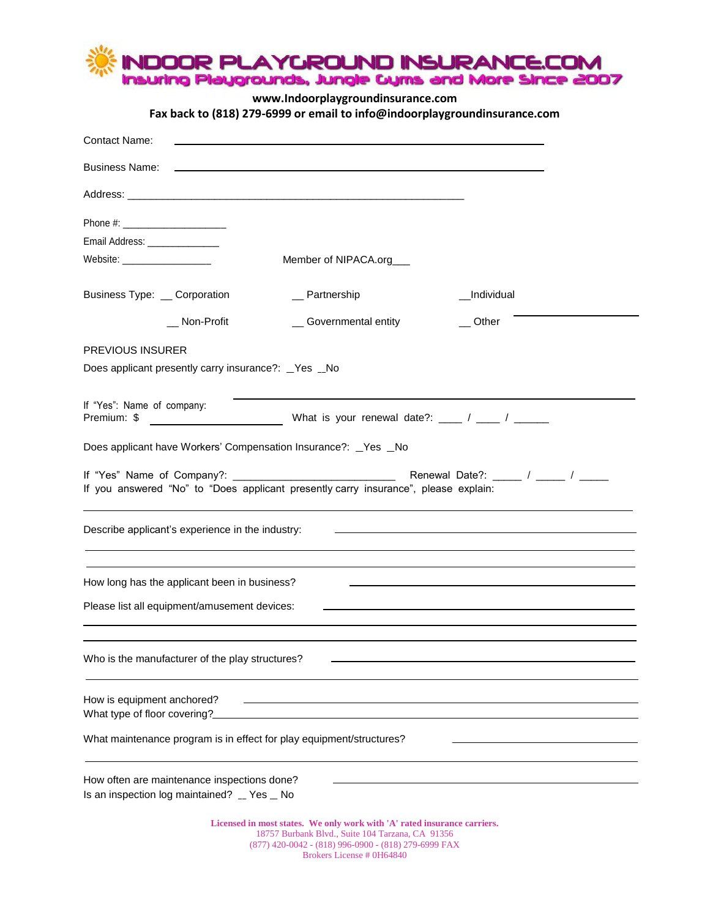

**www.Indoorplaygroundinsurance.com**

**Fax back to (818) 279-6999 or email to info@indoorplaygroundinsurance.com**

| <b>Contact Name:</b>                                                                       |                                                                                                                              |                                                                                                                                                                                                                                      |
|--------------------------------------------------------------------------------------------|------------------------------------------------------------------------------------------------------------------------------|--------------------------------------------------------------------------------------------------------------------------------------------------------------------------------------------------------------------------------------|
| <b>Business Name:</b>                                                                      |                                                                                                                              |                                                                                                                                                                                                                                      |
|                                                                                            |                                                                                                                              |                                                                                                                                                                                                                                      |
|                                                                                            |                                                                                                                              |                                                                                                                                                                                                                                      |
| Email Address: ________________                                                            |                                                                                                                              |                                                                                                                                                                                                                                      |
| Website: ____________________                                                              | Member of NIPACA.org                                                                                                         |                                                                                                                                                                                                                                      |
| Business Type: _ Corporation                                                               | _ Partnership                                                                                                                | Individual                                                                                                                                                                                                                           |
| __ Non-Profit                                                                              | _ Governmental entity                                                                                                        | Other                                                                                                                                                                                                                                |
| <b>PREVIOUS INSURER</b>                                                                    |                                                                                                                              |                                                                                                                                                                                                                                      |
| Does applicant presently carry insurance?: _Yes _No                                        |                                                                                                                              |                                                                                                                                                                                                                                      |
| If "Yes": Name of company:<br>Premium: \$                                                  | What is your renewal date?: ____ / ____ / _____                                                                              |                                                                                                                                                                                                                                      |
| Does applicant have Workers' Compensation Insurance?: _Yes _No                             |                                                                                                                              |                                                                                                                                                                                                                                      |
| If you answered "No" to "Does applicant presently carry insurance", please explain:        |                                                                                                                              |                                                                                                                                                                                                                                      |
| Describe applicant's experience in the industry:                                           |                                                                                                                              | <u>state and the state of the state of the state of the state of the state of the state of the state of the state of the state of the state of the state of the state of the state of the state of the state of the state of the</u> |
| How long has the applicant been in business?                                               |                                                                                                                              |                                                                                                                                                                                                                                      |
| Please list all equipment/amusement devices:                                               |                                                                                                                              |                                                                                                                                                                                                                                      |
| Who is the manufacturer of the play structures?                                            |                                                                                                                              |                                                                                                                                                                                                                                      |
| How is equipment anchored?<br>What type of floor covering?                                 | <u> 1989 - Johann Harry Harry Harry Harry Harry Harry Harry Harry Harry Harry Harry Harry Harry Harry Harry Harry</u>        |                                                                                                                                                                                                                                      |
| What maintenance program is in effect for play equipment/structures?                       |                                                                                                                              |                                                                                                                                                                                                                                      |
| How often are maintenance inspections done?<br>Is an inspection log maintained? _ Yes _ No |                                                                                                                              |                                                                                                                                                                                                                                      |
|                                                                                            | Licensed in most states. We only work with 'A' rated insurance carriers.<br>18757 Burbank Blvd., Suite 104 Tarzana, CA 91356 |                                                                                                                                                                                                                                      |

(877) 420-0042 - (818) 996-0900 - (818) 279-6999 FAX Brokers License # 0H64840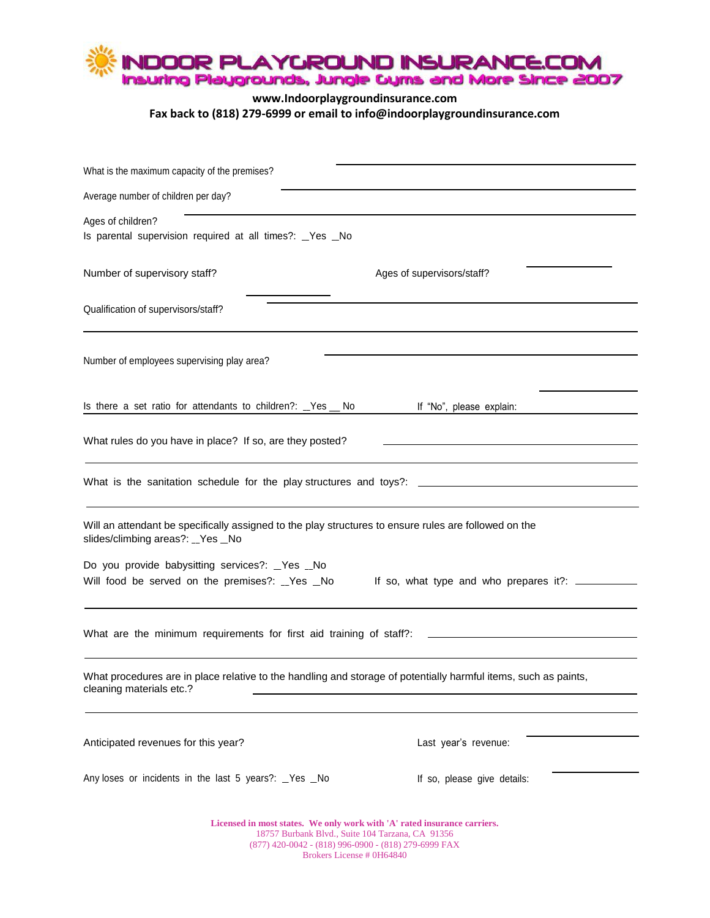

## **www.Indoorplaygroundinsurance.com Fax back to (818) 279-6999 or email to info@indoorplaygroundinsurance.com**

| What is the maximum capacity of the premises?                                                                                               |                                                                          |
|---------------------------------------------------------------------------------------------------------------------------------------------|--------------------------------------------------------------------------|
| Average number of children per day?                                                                                                         |                                                                          |
| Ages of children?<br>Is parental supervision required at all times?: _Yes _No                                                               |                                                                          |
| Number of supervisory staff?                                                                                                                | Ages of supervisors/staff?                                               |
| Qualification of supervisors/staff?                                                                                                         |                                                                          |
| Number of employees supervising play area?                                                                                                  |                                                                          |
| Is there a set ratio for attendants to children?: _Yes _ No                                                                                 | If "No", please explain:                                                 |
| What rules do you have in place? If so, are they posted?                                                                                    |                                                                          |
| What is the sanitation schedule for the play structures and toys?: _________________________________                                        |                                                                          |
| Will an attendant be specifically assigned to the play structures to ensure rules are followed on the<br>slides/climbing areas?: _Yes _No   |                                                                          |
| Do you provide babysitting services?: _Yes _No<br>Will food be served on the premises?: _Yes _No                                            | If so, what type and who prepares it?: ________                          |
| What are the minimum requirements for first aid training of staff?:                                                                         |                                                                          |
| What procedures are in place relative to the handling and storage of potentially harmful items, such as paints,<br>cleaning materials etc.? |                                                                          |
| Anticipated revenues for this year?                                                                                                         | Last year's revenue:                                                     |
| Any loses or incidents in the last 5 years?: _Yes _No                                                                                       | If so, please give details:                                              |
|                                                                                                                                             | Licensed in most states. We only work with 'A' rated insurance carriers. |

18757 Burbank Blvd., Suite 104 Tarzana, CA 91356 (877) 420-0042 - (818) 996-0900 - (818) 279-6999 FAX Brokers License # 0H64840